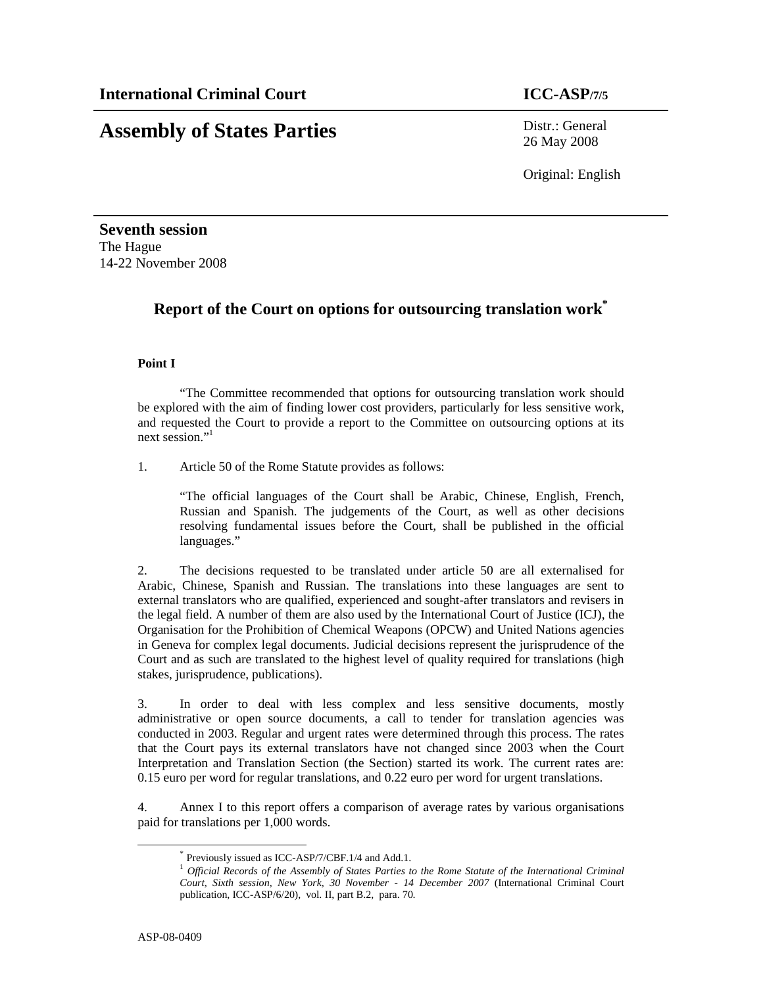# **Assembly of States Parties** Distr.: General

26 May 2008

Original: English

**Seventh session**  The Hague 14-22 November 2008

### **Report of the Court on options for outsourcing translation work\***

#### **Point I**

"The Committee recommended that options for outsourcing translation work should be explored with the aim of finding lower cost providers, particularly for less sensitive work, and requested the Court to provide a report to the Committee on outsourcing options at its next session."

1. Article 50 of the Rome Statute provides as follows:

"The official languages of the Court shall be Arabic, Chinese, English, French, Russian and Spanish. The judgements of the Court, as well as other decisions resolving fundamental issues before the Court, shall be published in the official languages."

2. The decisions requested to be translated under article 50 are all externalised for Arabic, Chinese, Spanish and Russian. The translations into these languages are sent to external translators who are qualified, experienced and sought-after translators and revisers in the legal field. A number of them are also used by the International Court of Justice (ICJ), the Organisation for the Prohibition of Chemical Weapons (OPCW) and United Nations agencies in Geneva for complex legal documents. Judicial decisions represent the jurisprudence of the Court and as such are translated to the highest level of quality required for translations (high stakes, jurisprudence, publications).

3. In order to deal with less complex and less sensitive documents, mostly administrative or open source documents, a call to tender for translation agencies was conducted in 2003. Regular and urgent rates were determined through this process. The rates that the Court pays its external translators have not changed since 2003 when the Court Interpretation and Translation Section (the Section) started its work. The current rates are: 0.15 euro per word for regular translations, and 0.22 euro per word for urgent translations.

4. Annex I to this report offers a comparison of average rates by various organisations paid for translations per 1,000 words.

-

<sup>\*</sup> Previously issued as ICC-ASP/7/CBF.1/4 and Add.1.

<sup>&</sup>lt;sup>1</sup> Official Records of the Assembly of States Parties to the Rome Statute of the International Criminal *Court, Sixth session, New York, 30 November - 14 December 2007* (International Criminal Court publication, ICC-ASP/6/20), vol. II, part B.2, para. 70.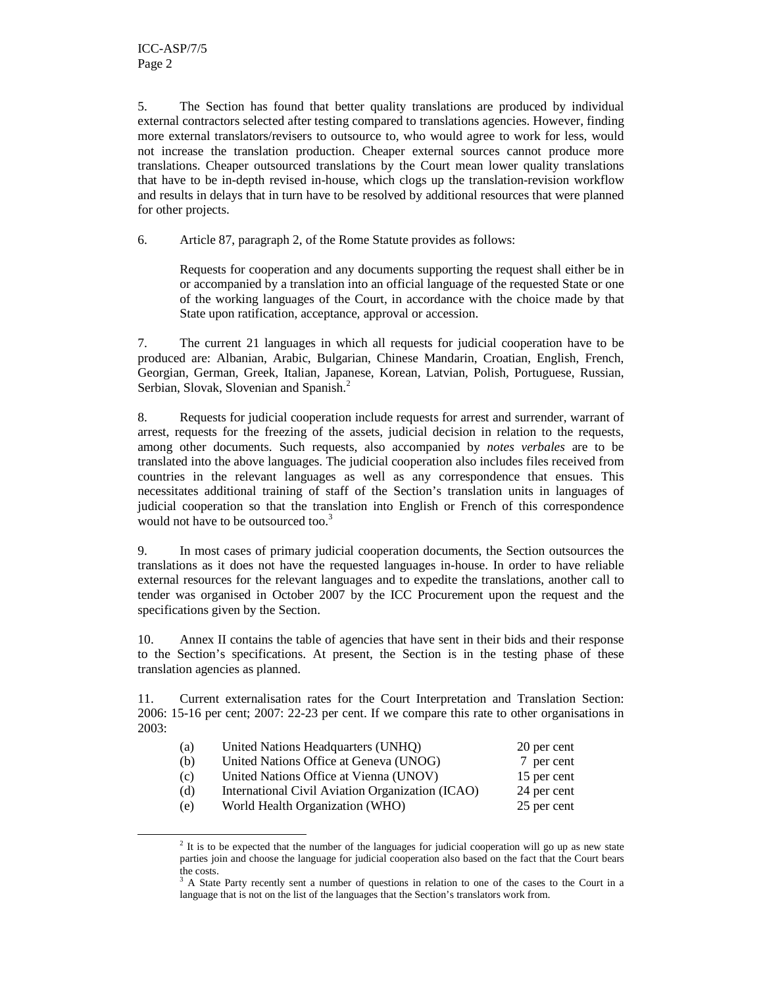-

5. The Section has found that better quality translations are produced by individual external contractors selected after testing compared to translations agencies. However, finding more external translators/revisers to outsource to, who would agree to work for less, would not increase the translation production. Cheaper external sources cannot produce more translations. Cheaper outsourced translations by the Court mean lower quality translations that have to be in-depth revised in-house, which clogs up the translation-revision workflow and results in delays that in turn have to be resolved by additional resources that were planned for other projects.

6. Article 87, paragraph 2, of the Rome Statute provides as follows:

Requests for cooperation and any documents supporting the request shall either be in or accompanied by a translation into an official language of the requested State or one of the working languages of the Court, in accordance with the choice made by that State upon ratification, acceptance, approval or accession.

7. The current 21 languages in which all requests for judicial cooperation have to be produced are: Albanian, Arabic, Bulgarian, Chinese Mandarin, Croatian, English, French, Georgian, German, Greek, Italian, Japanese, Korean, Latvian, Polish, Portuguese, Russian, Serbian, Slovak, Slovenian and Spanish.<sup>2</sup>

8. Requests for judicial cooperation include requests for arrest and surrender, warrant of arrest, requests for the freezing of the assets, judicial decision in relation to the requests, among other documents. Such requests, also accompanied by *notes verbales* are to be translated into the above languages. The judicial cooperation also includes files received from countries in the relevant languages as well as any correspondence that ensues. This necessitates additional training of staff of the Section's translation units in languages of judicial cooperation so that the translation into English or French of this correspondence would not have to be outsourced too.<sup>3</sup>

9. In most cases of primary judicial cooperation documents, the Section outsources the translations as it does not have the requested languages in-house. In order to have reliable external resources for the relevant languages and to expedite the translations, another call to tender was organised in October 2007 by the ICC Procurement upon the request and the specifications given by the Section.

10. Annex II contains the table of agencies that have sent in their bids and their response to the Section's specifications. At present, the Section is in the testing phase of these translation agencies as planned.

11. Current externalisation rates for the Court Interpretation and Translation Section: 2006: 15-16 per cent; 2007: 22-23 per cent. If we compare this rate to other organisations in 2003:

| (a) | United Nations Headquarters (UNHQ)               | 20 per cent |
|-----|--------------------------------------------------|-------------|
| (b) | United Nations Office at Geneva (UNOG)           | 7 per cent  |
| (c) | United Nations Office at Vienna (UNOV)           | 15 per cent |
| (d) | International Civil Aviation Organization (ICAO) | 24 per cent |
| (e) | World Health Organization (WHO)                  | 25 per cent |

 $2$  It is to be expected that the number of the languages for judicial cooperation will go up as new state parties join and choose the language for judicial cooperation also based on the fact that the Court bears the costs.

<sup>&</sup>lt;sup>3</sup> A State Party recently sent a number of questions in relation to one of the cases to the Court in a language that is not on the list of the languages that the Section's translators work from.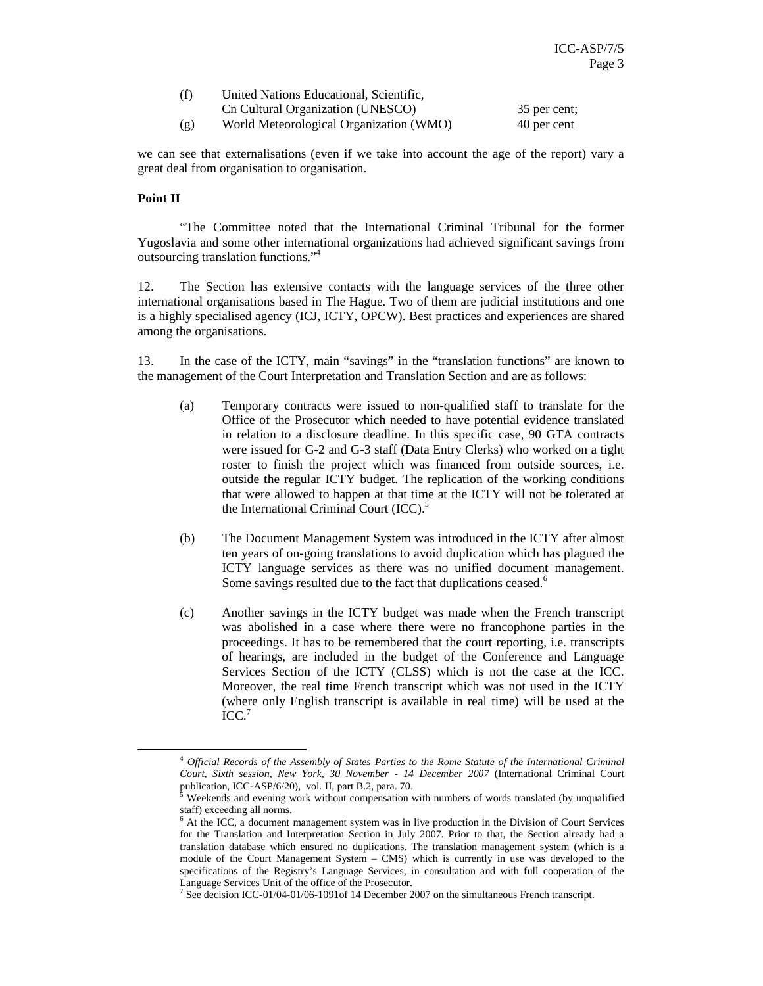| (f) | United Nations Educational, Scientific, |              |
|-----|-----------------------------------------|--------------|
|     | Cn Cultural Organization (UNESCO)       | 35 per cent: |
| (g) | World Meteorological Organization (WMO) | 40 per cent  |

we can see that externalisations (even if we take into account the age of the report) vary a great deal from organisation to organisation.

#### **Point II**

-

"The Committee noted that the International Criminal Tribunal for the former Yugoslavia and some other international organizations had achieved significant savings from outsourcing translation functions."<sup>4</sup>

12. The Section has extensive contacts with the language services of the three other international organisations based in The Hague. Two of them are judicial institutions and one is a highly specialised agency (ICJ, ICTY, OPCW). Best practices and experiences are shared among the organisations.

13. In the case of the ICTY, main "savings" in the "translation functions" are known to the management of the Court Interpretation and Translation Section and are as follows:

- (a) Temporary contracts were issued to non-qualified staff to translate for the Office of the Prosecutor which needed to have potential evidence translated in relation to a disclosure deadline. In this specific case, 90 GTA contracts were issued for G-2 and G-3 staff (Data Entry Clerks) who worked on a tight roster to finish the project which was financed from outside sources, i.e. outside the regular ICTY budget. The replication of the working conditions that were allowed to happen at that time at the ICTY will not be tolerated at the International Criminal Court (ICC).<sup>5</sup>
- (b) The Document Management System was introduced in the ICTY after almost ten years of on-going translations to avoid duplication which has plagued the ICTY language services as there was no unified document management. Some savings resulted due to the fact that duplications ceased.<sup>6</sup>
- (c) Another savings in the ICTY budget was made when the French transcript was abolished in a case where there were no francophone parties in the proceedings. It has to be remembered that the court reporting, i.e. transcripts of hearings, are included in the budget of the Conference and Language Services Section of the ICTY (CLSS) which is not the case at the ICC. Moreover, the real time French transcript which was not used in the ICTY (where only English transcript is available in real time) will be used at the ICC.<sup>7</sup>

<sup>4</sup> *Official Records of the Assembly of States Parties to the Rome Statute of the International Criminal Court, Sixth session, New York, 30 November - 14 December 2007* (International Criminal Court publication, ICC-ASP/6/20), vol. II, part B.2, para. 70.

Weekends and evening work without compensation with numbers of words translated (by unqualified staff) exceeding all norms.

<sup>&</sup>lt;sup>6</sup> At the ICC, a document management system was in live production in the Division of Court Services for the Translation and Interpretation Section in July 2007. Prior to that, the Section already had a translation database which ensured no duplications. The translation management system (which is a module of the Court Management System – CMS) which is currently in use was developed to the specifications of the Registry's Language Services, in consultation and with full cooperation of the Language Services Unit of the office of the Prosecutor.

<sup>&</sup>lt;sup>7</sup> See decision ICC-01/04-01/06-1091of 14 December 2007 on the simultaneous French transcript.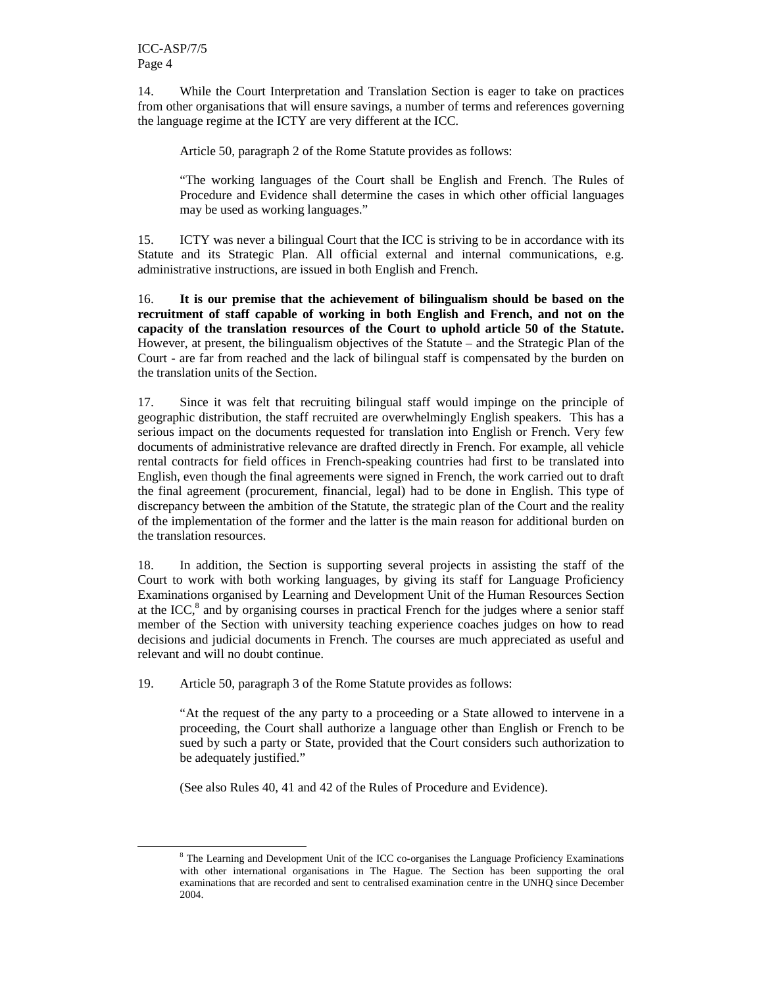-

14. While the Court Interpretation and Translation Section is eager to take on practices from other organisations that will ensure savings, a number of terms and references governing the language regime at the ICTY are very different at the ICC.

Article 50, paragraph 2 of the Rome Statute provides as follows:

"The working languages of the Court shall be English and French. The Rules of Procedure and Evidence shall determine the cases in which other official languages may be used as working languages."

15. ICTY was never a bilingual Court that the ICC is striving to be in accordance with its Statute and its Strategic Plan. All official external and internal communications, e.g. administrative instructions, are issued in both English and French.

16. **It is our premise that the achievement of bilingualism should be based on the recruitment of staff capable of working in both English and French, and not on the capacity of the translation resources of the Court to uphold article 50 of the Statute.** However, at present, the bilingualism objectives of the Statute – and the Strategic Plan of the Court - are far from reached and the lack of bilingual staff is compensated by the burden on the translation units of the Section.

17. Since it was felt that recruiting bilingual staff would impinge on the principle of geographic distribution, the staff recruited are overwhelmingly English speakers. This has a serious impact on the documents requested for translation into English or French. Very few documents of administrative relevance are drafted directly in French. For example, all vehicle rental contracts for field offices in French-speaking countries had first to be translated into English, even though the final agreements were signed in French, the work carried out to draft the final agreement (procurement, financial, legal) had to be done in English. This type of discrepancy between the ambition of the Statute, the strategic plan of the Court and the reality of the implementation of the former and the latter is the main reason for additional burden on the translation resources.

18. In addition, the Section is supporting several projects in assisting the staff of the Court to work with both working languages, by giving its staff for Language Proficiency Examinations organised by Learning and Development Unit of the Human Resources Section at the ICC,<sup>8</sup> and by organising courses in practical French for the judges where a senior staff member of the Section with university teaching experience coaches judges on how to read decisions and judicial documents in French. The courses are much appreciated as useful and relevant and will no doubt continue.

19. Article 50, paragraph 3 of the Rome Statute provides as follows:

"At the request of the any party to a proceeding or a State allowed to intervene in a proceeding, the Court shall authorize a language other than English or French to be sued by such a party or State, provided that the Court considers such authorization to be adequately justified."

(See also Rules 40, 41 and 42 of the Rules of Procedure and Evidence).

<sup>&</sup>lt;sup>8</sup> The Learning and Development Unit of the ICC co-organises the Language Proficiency Examinations with other international organisations in The Hague. The Section has been supporting the oral examinations that are recorded and sent to centralised examination centre in the UNHQ since December 2004.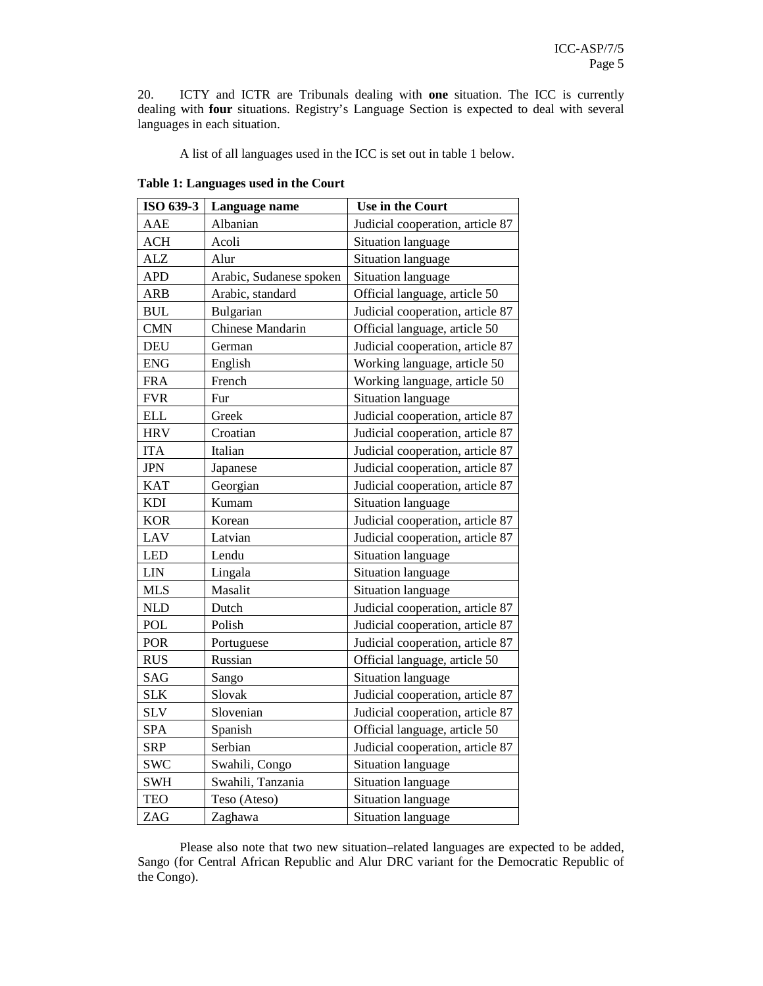20. ICTY and ICTR are Tribunals dealing with **one** situation. The ICC is currently dealing with **four** situations. Registry's Language Section is expected to deal with several languages in each situation.

A list of all languages used in the ICC is set out in table 1 below.

| Table 1: Languages used in the Court |  |  |  |
|--------------------------------------|--|--|--|
|--------------------------------------|--|--|--|

| ISO 639-3  | Language name           | Use in the Court                 |  |  |
|------------|-------------------------|----------------------------------|--|--|
| AAE        | Albanian                | Judicial cooperation, article 87 |  |  |
| <b>ACH</b> | Acoli                   | Situation language               |  |  |
| <b>ALZ</b> | Alur                    | <b>Situation language</b>        |  |  |
| <b>APD</b> | Arabic, Sudanese spoken | Situation language               |  |  |
| <b>ARB</b> | Arabic, standard        | Official language, article 50    |  |  |
| <b>BUL</b> | Bulgarian               | Judicial cooperation, article 87 |  |  |
| <b>CMN</b> | Chinese Mandarin        | Official language, article 50    |  |  |
| <b>DEU</b> | German                  | Judicial cooperation, article 87 |  |  |
| <b>ENG</b> | English                 | Working language, article 50     |  |  |
| <b>FRA</b> | French                  | Working language, article 50     |  |  |
| <b>FVR</b> | Fur                     | Situation language               |  |  |
| <b>ELL</b> | Greek                   | Judicial cooperation, article 87 |  |  |
| <b>HRV</b> | Croatian                | Judicial cooperation, article 87 |  |  |
| <b>ITA</b> | Italian                 | Judicial cooperation, article 87 |  |  |
| <b>JPN</b> | Japanese                | Judicial cooperation, article 87 |  |  |
| <b>KAT</b> | Georgian                | Judicial cooperation, article 87 |  |  |
| <b>KDI</b> | Kumam                   | Situation language               |  |  |
| <b>KOR</b> | Korean                  | Judicial cooperation, article 87 |  |  |
| LAV        | Latvian                 | Judicial cooperation, article 87 |  |  |
| <b>LED</b> | Lendu                   | Situation language               |  |  |
| <b>LIN</b> | Lingala                 | <b>Situation language</b>        |  |  |
| <b>MLS</b> | Masalit                 | <b>Situation language</b>        |  |  |
| <b>NLD</b> | Dutch                   | Judicial cooperation, article 87 |  |  |
| POL        | Polish                  | Judicial cooperation, article 87 |  |  |
| POR        | Portuguese              | Judicial cooperation, article 87 |  |  |
| <b>RUS</b> | Russian                 | Official language, article 50    |  |  |
| SAG        | Sango                   | Situation language               |  |  |
| <b>SLK</b> | Slovak                  | Judicial cooperation, article 87 |  |  |
| <b>SLV</b> | Slovenian               | Judicial cooperation, article 87 |  |  |
| <b>SPA</b> | Spanish                 | Official language, article 50    |  |  |
| <b>SRP</b> | Serbian                 | Judicial cooperation, article 87 |  |  |
| <b>SWC</b> | Swahili, Congo          | Situation language               |  |  |
| <b>SWH</b> | Swahili, Tanzania       | Situation language               |  |  |
| <b>TEO</b> | Teso (Ateso)            | Situation language               |  |  |
| ZAG        | Zaghawa                 | <b>Situation language</b>        |  |  |

Please also note that two new situation–related languages are expected to be added, Sango (for Central African Republic and Alur DRC variant for the Democratic Republic of the Congo).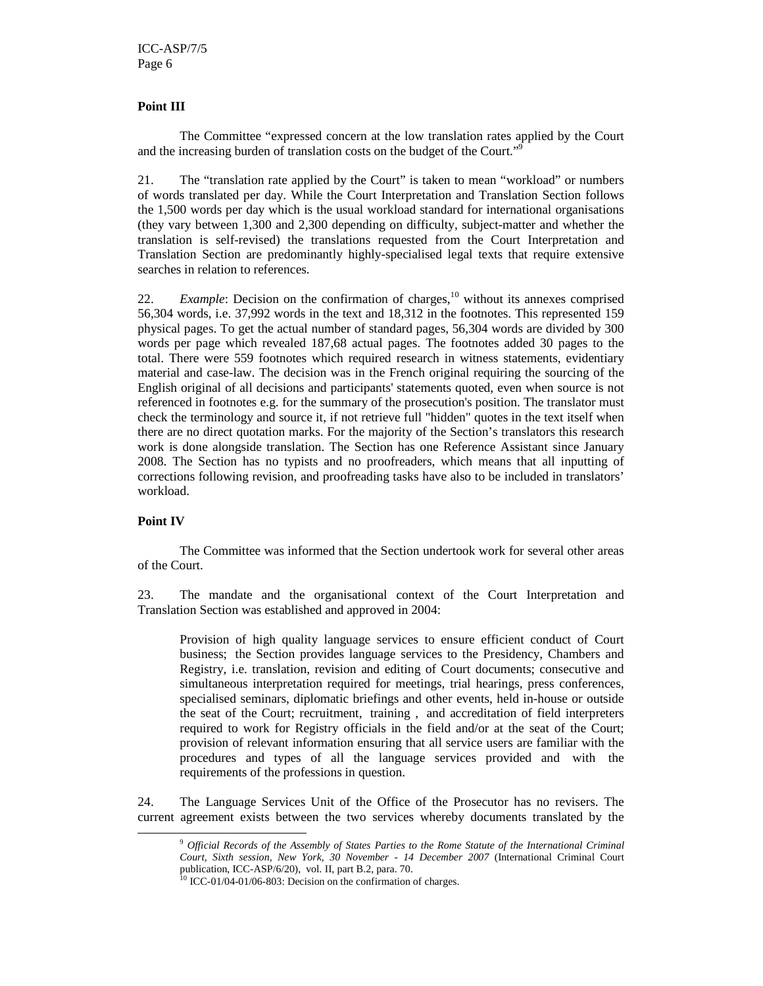#### **Point III**

The Committee "expressed concern at the low translation rates applied by the Court and the increasing burden of translation costs on the budget of the Court."

21. The "translation rate applied by the Court" is taken to mean "workload" or numbers of words translated per day. While the Court Interpretation and Translation Section follows the 1,500 words per day which is the usual workload standard for international organisations (they vary between 1,300 and 2,300 depending on difficulty, subject-matter and whether the translation is self-revised) the translations requested from the Court Interpretation and Translation Section are predominantly highly-specialised legal texts that require extensive searches in relation to references.

22. *Example*: Decision on the confirmation of charges,<sup>10</sup> without its annexes comprised 56,304 words, i.e. 37,992 words in the text and 18,312 in the footnotes. This represented 159 physical pages. To get the actual number of standard pages, 56,304 words are divided by 300 words per page which revealed 187,68 actual pages. The footnotes added 30 pages to the total. There were 559 footnotes which required research in witness statements, evidentiary material and case-law. The decision was in the French original requiring the sourcing of the English original of all decisions and participants' statements quoted, even when source is not referenced in footnotes e.g. for the summary of the prosecution's position. The translator must check the terminology and source it, if not retrieve full "hidden" quotes in the text itself when there are no direct quotation marks. For the majority of the Section's translators this research work is done alongside translation. The Section has one Reference Assistant since January 2008. The Section has no typists and no proofreaders, which means that all inputting of corrections following revision, and proofreading tasks have also to be included in translators' workload.

#### **Point IV**

-

The Committee was informed that the Section undertook work for several other areas of the Court.

23. The mandate and the organisational context of the Court Interpretation and Translation Section was established and approved in 2004:

Provision of high quality language services to ensure efficient conduct of Court business; the Section provides language services to the Presidency, Chambers and Registry, i.e. translation, revision and editing of Court documents; consecutive and simultaneous interpretation required for meetings, trial hearings, press conferences, specialised seminars, diplomatic briefings and other events, held in-house or outside the seat of the Court; recruitment, training , and accreditation of field interpreters required to work for Registry officials in the field and/or at the seat of the Court; provision of relevant information ensuring that all service users are familiar with the procedures and types of all the language services provided and with the requirements of the professions in question.

24. The Language Services Unit of the Office of the Prosecutor has no revisers. The current agreement exists between the two services whereby documents translated by the

<sup>9</sup> *Official Records of the Assembly of States Parties to the Rome Statute of the International Criminal Court, Sixth session, New York, 30 November - 14 December 2007* (International Criminal Court publication, ICC-ASP/6/20), vol. II, part B.2, para. 70.

ICC-01/04-01/06-803: Decision on the confirmation of charges.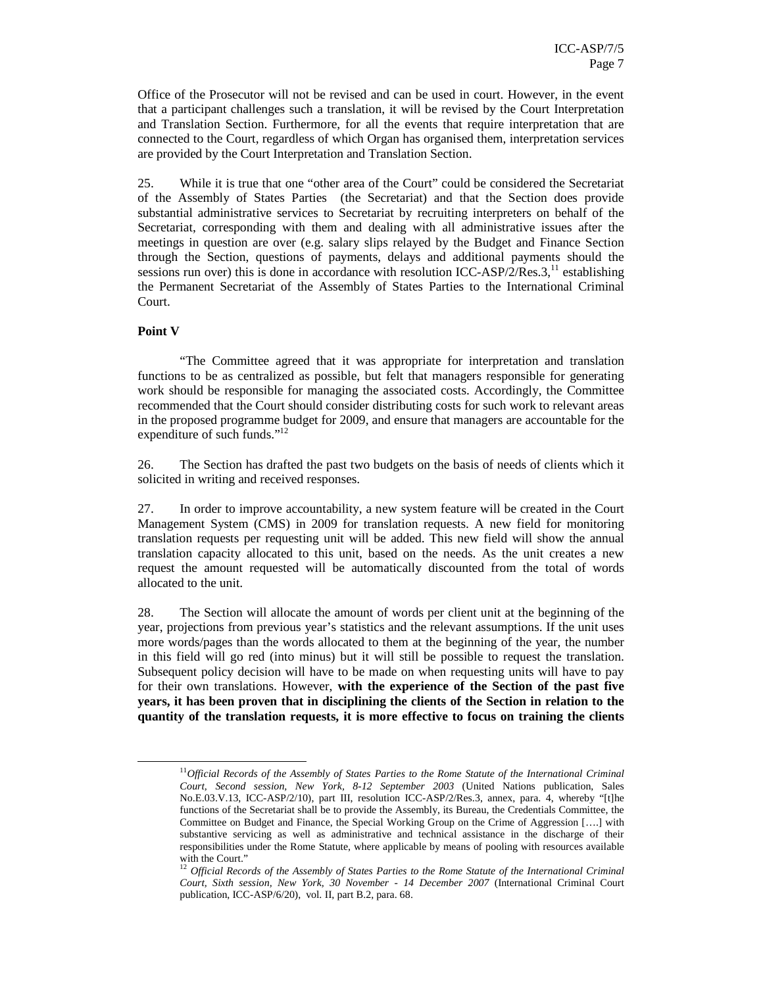Office of the Prosecutor will not be revised and can be used in court. However, in the event that a participant challenges such a translation, it will be revised by the Court Interpretation and Translation Section. Furthermore, for all the events that require interpretation that are connected to the Court, regardless of which Organ has organised them, interpretation services are provided by the Court Interpretation and Translation Section.

25. While it is true that one "other area of the Court" could be considered the Secretariat of the Assembly of States Parties (the Secretariat) and that the Section does provide substantial administrative services to Secretariat by recruiting interpreters on behalf of the Secretariat, corresponding with them and dealing with all administrative issues after the meetings in question are over (e.g. salary slips relayed by the Budget and Finance Section through the Section, questions of payments, delays and additional payments should the sessions run over) this is done in accordance with resolution ICC-ASP/2/Res.3, $^{11}$  establishing the Permanent Secretariat of the Assembly of States Parties to the International Criminal Court.

#### **Point V**

-

"The Committee agreed that it was appropriate for interpretation and translation functions to be as centralized as possible, but felt that managers responsible for generating work should be responsible for managing the associated costs. Accordingly, the Committee recommended that the Court should consider distributing costs for such work to relevant areas in the proposed programme budget for 2009, and ensure that managers are accountable for the expenditure of such funds."<sup>12</sup>

26. The Section has drafted the past two budgets on the basis of needs of clients which it solicited in writing and received responses.

27. In order to improve accountability, a new system feature will be created in the Court Management System (CMS) in 2009 for translation requests. A new field for monitoring translation requests per requesting unit will be added. This new field will show the annual translation capacity allocated to this unit, based on the needs. As the unit creates a new request the amount requested will be automatically discounted from the total of words allocated to the unit.

28. The Section will allocate the amount of words per client unit at the beginning of the year, projections from previous year's statistics and the relevant assumptions. If the unit uses more words/pages than the words allocated to them at the beginning of the year, the number in this field will go red (into minus) but it will still be possible to request the translation. Subsequent policy decision will have to be made on when requesting units will have to pay for their own translations. However, **with the experience of the Section of the past five years, it has been proven that in disciplining the clients of the Section in relation to the quantity of the translation requests, it is more effective to focus on training the clients** 

<sup>11</sup>*Official Records of the Assembly of States Parties to the Rome Statute of the International Criminal Court, Second session, New York, 8-12 September 2003* (United Nations publication, Sales No.E.03.V.13, ICC-ASP/2/10), part III, resolution ICC-ASP/2/Res.3, annex, para. 4, whereby "[t]he functions of the Secretariat shall be to provide the Assembly, its Bureau, the Credentials Committee, the Committee on Budget and Finance, the Special Working Group on the Crime of Aggression [….] with substantive servicing as well as administrative and technical assistance in the discharge of their responsibilities under the Rome Statute, where applicable by means of pooling with resources available with the Court."

<sup>&</sup>lt;sup>12</sup> Official Records of the Assembly of States Parties to the Rome Statute of the International Criminal *Court, Sixth session, New York, 30 November - 14 December 2007* (International Criminal Court publication, ICC-ASP/6/20), vol. II, part B.2, para. 68.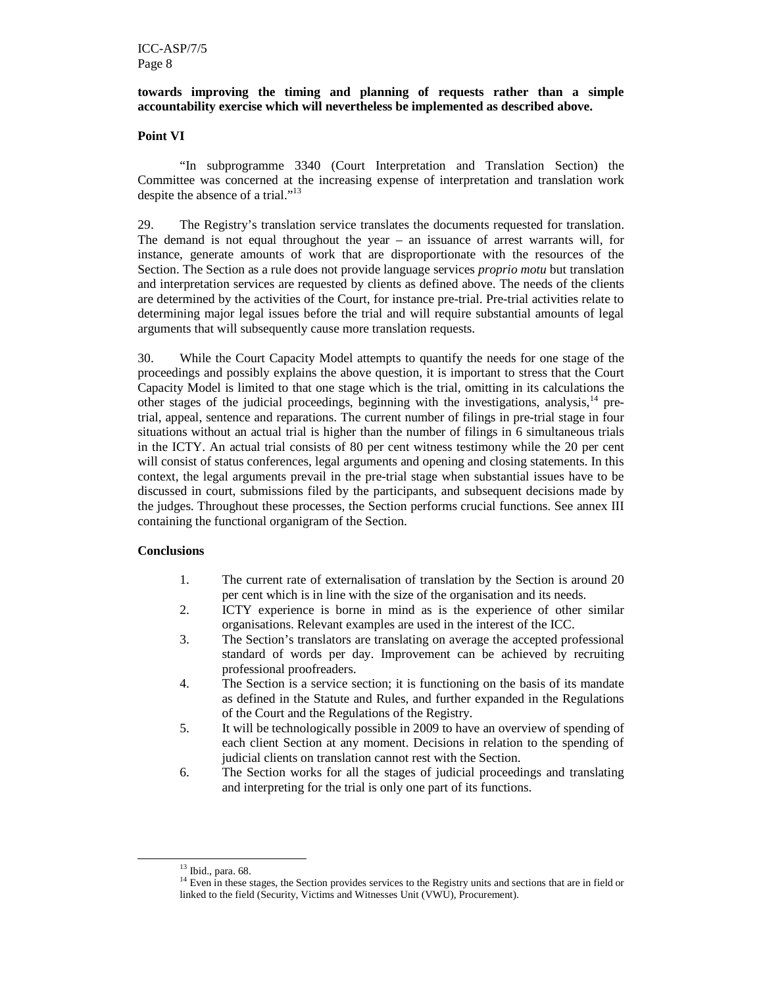#### **towards improving the timing and planning of requests rather than a simple accountability exercise which will nevertheless be implemented as described above.**

#### **Point VI**

"In subprogramme 3340 (Court Interpretation and Translation Section) the Committee was concerned at the increasing expense of interpretation and translation work despite the absence of a trial."<sup>13</sup>

29. The Registry's translation service translates the documents requested for translation. The demand is not equal throughout the year – an issuance of arrest warrants will, for instance, generate amounts of work that are disproportionate with the resources of the Section. The Section as a rule does not provide language services *proprio motu* but translation and interpretation services are requested by clients as defined above. The needs of the clients are determined by the activities of the Court, for instance pre-trial. Pre-trial activities relate to determining major legal issues before the trial and will require substantial amounts of legal arguments that will subsequently cause more translation requests.

30. While the Court Capacity Model attempts to quantify the needs for one stage of the proceedings and possibly explains the above question, it is important to stress that the Court Capacity Model is limited to that one stage which is the trial, omitting in its calculations the other stages of the judicial proceedings, beginning with the investigations, analysis, $14$  pretrial, appeal, sentence and reparations. The current number of filings in pre-trial stage in four situations without an actual trial is higher than the number of filings in 6 simultaneous trials in the ICTY. An actual trial consists of 80 per cent witness testimony while the 20 per cent will consist of status conferences, legal arguments and opening and closing statements. In this context, the legal arguments prevail in the pre-trial stage when substantial issues have to be discussed in court, submissions filed by the participants, and subsequent decisions made by the judges. Throughout these processes, the Section performs crucial functions. See annex III containing the functional organigram of the Section.

#### **Conclusions**

- 1. The current rate of externalisation of translation by the Section is around 20 per cent which is in line with the size of the organisation and its needs.
- 2. ICTY experience is borne in mind as is the experience of other similar organisations. Relevant examples are used in the interest of the ICC.
- 3. The Section's translators are translating on average the accepted professional standard of words per day. Improvement can be achieved by recruiting professional proofreaders.
- 4. The Section is a service section; it is functioning on the basis of its mandate as defined in the Statute and Rules, and further expanded in the Regulations of the Court and the Regulations of the Registry.
- 5. It will be technologically possible in 2009 to have an overview of spending of each client Section at any moment. Decisions in relation to the spending of judicial clients on translation cannot rest with the Section.
- 6. The Section works for all the stages of judicial proceedings and translating and interpreting for the trial is only one part of its functions.

-

<sup>13</sup> Ibid., para. 68.

<sup>&</sup>lt;sup>14</sup> Even in these stages, the Section provides services to the Registry units and sections that are in field or linked to the field (Security, Victims and Witnesses Unit (VWU), Procurement).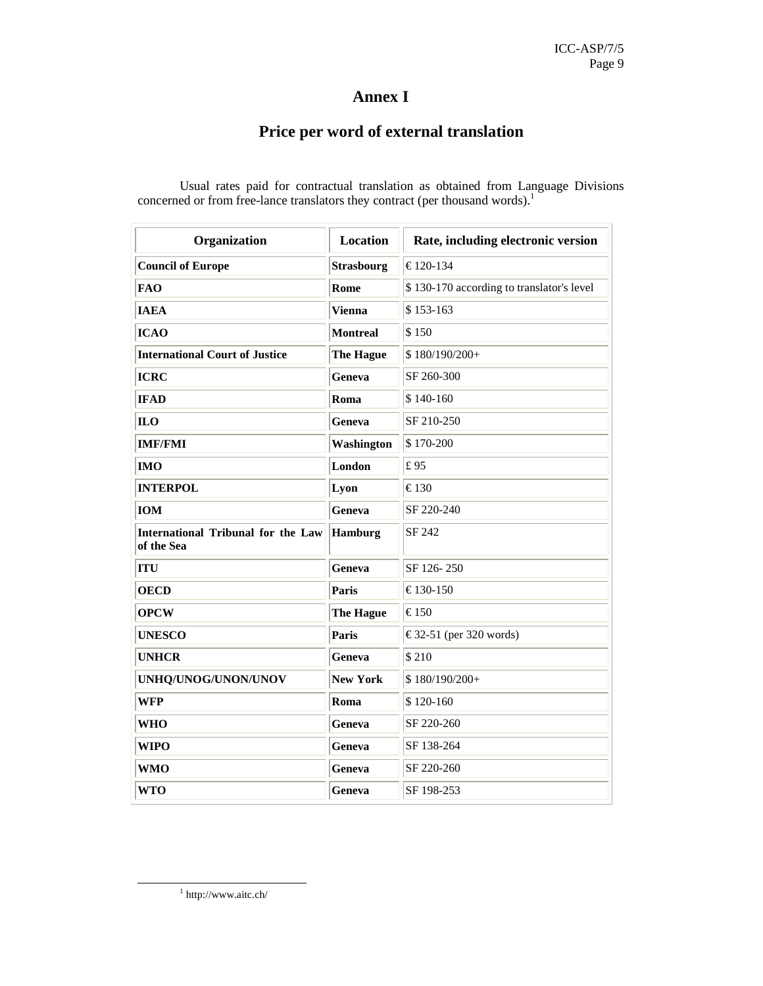### **Annex I**

## **Price per word of external translation**

| Organization                                            | <b>Location</b>   | Rate, including electronic version        |  |  |
|---------------------------------------------------------|-------------------|-------------------------------------------|--|--|
| <b>Council of Europe</b>                                | <b>Strasbourg</b> | € 120-134                                 |  |  |
| FAO                                                     | Rome              | \$130-170 according to translator's level |  |  |
| <b>IAEA</b>                                             | Vienna            | \$153-163                                 |  |  |
| <b>ICAO</b>                                             | <b>Montreal</b>   | \$150                                     |  |  |
| <b>International Court of Justice</b>                   | <b>The Hague</b>  | $$180/190/200+$                           |  |  |
| <b>ICRC</b>                                             | Geneva            | SF 260-300                                |  |  |
| <b>IFAD</b>                                             | Roma              | \$140-160                                 |  |  |
| ILO                                                     | Geneva            | SF 210-250                                |  |  |
| <b>IMF/FMI</b>                                          | Washington        | \$170-200                                 |  |  |
| <b>IMO</b>                                              | London            | £95                                       |  |  |
| <b>INTERPOL</b>                                         | Lyon              | € 130                                     |  |  |
| <b>IOM</b>                                              | Geneva            | SF 220-240                                |  |  |
| <b>International Tribunal for the Law</b><br>of the Sea | Hamburg           | SF 242                                    |  |  |
| <b>ITU</b>                                              | Geneva            | SF 126-250                                |  |  |
| <b>OECD</b>                                             | <b>Paris</b>      | € 130-150                                 |  |  |
| <b>OPCW</b>                                             | <b>The Hague</b>  | € 150                                     |  |  |
| <b>UNESCO</b>                                           | Paris             | € 32-51 (per 320 words)                   |  |  |
| <b>UNHCR</b>                                            | Geneva            | \$210                                     |  |  |
| UNHQ/UNOG/UNON/UNOV                                     | <b>New York</b>   | \$180/190/200+                            |  |  |
| WFP                                                     | Roma              | \$120-160                                 |  |  |
| WHO                                                     | Geneva            | SF 220-260                                |  |  |
| WIPO                                                    | Geneva            | SF 138-264                                |  |  |
| WMO                                                     | Geneva            | SF 220-260                                |  |  |
| WTO                                                     | Geneva            | SF 198-253                                |  |  |

Usual rates paid for contractual translation as obtained from Language Divisions concerned or from free-lance translators they contract (per thousand words).<sup>1</sup>

1 http://www.aitc.ch/

-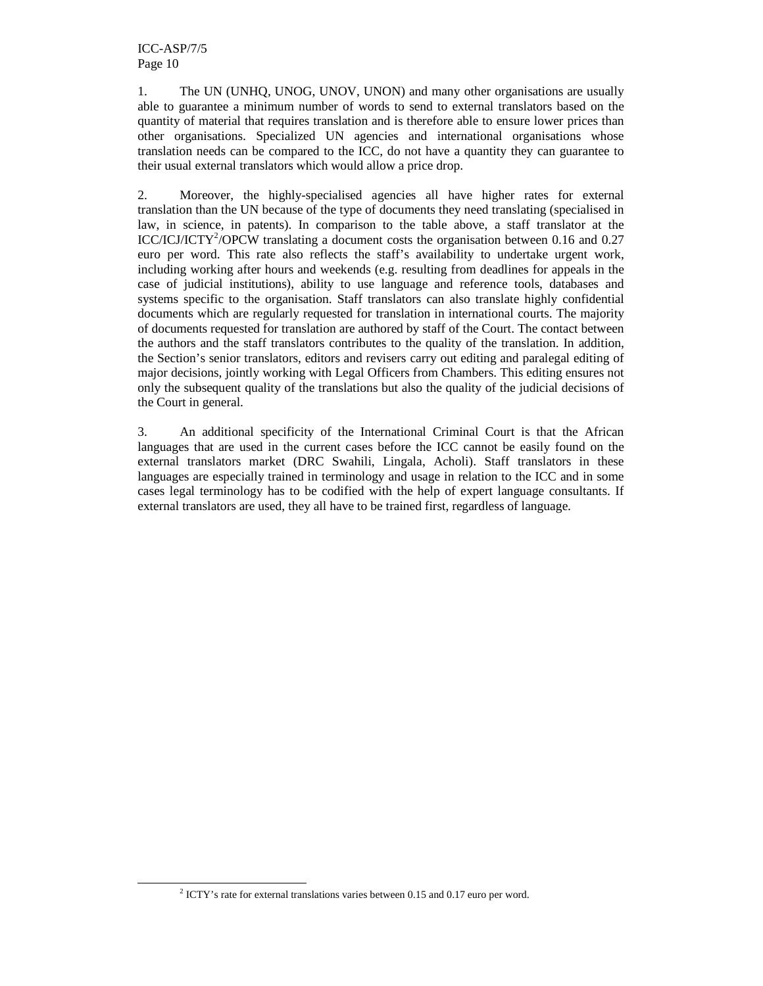-

1. The UN (UNHQ, UNOG, UNOV, UNON) and many other organisations are usually able to guarantee a minimum number of words to send to external translators based on the quantity of material that requires translation and is therefore able to ensure lower prices than other organisations. Specialized UN agencies and international organisations whose translation needs can be compared to the ICC, do not have a quantity they can guarantee to their usual external translators which would allow a price drop.

2. Moreover, the highly-specialised agencies all have higher rates for external translation than the UN because of the type of documents they need translating (specialised in law, in science, in patents). In comparison to the table above, a staff translator at the  $\text{ICC}/\text{ICI}/\text{ICTY}^2/\text{OPCW}$  translating a document costs the organisation between 0.16 and 0.27 euro per word. This rate also reflects the staff's availability to undertake urgent work, including working after hours and weekends (e.g. resulting from deadlines for appeals in the case of judicial institutions), ability to use language and reference tools, databases and systems specific to the organisation. Staff translators can also translate highly confidential documents which are regularly requested for translation in international courts. The majority of documents requested for translation are authored by staff of the Court. The contact between the authors and the staff translators contributes to the quality of the translation. In addition, the Section's senior translators, editors and revisers carry out editing and paralegal editing of major decisions, jointly working with Legal Officers from Chambers. This editing ensures not only the subsequent quality of the translations but also the quality of the judicial decisions of the Court in general.

3. An additional specificity of the International Criminal Court is that the African languages that are used in the current cases before the ICC cannot be easily found on the external translators market (DRC Swahili, Lingala, Acholi). Staff translators in these languages are especially trained in terminology and usage in relation to the ICC and in some cases legal terminology has to be codified with the help of expert language consultants. If external translators are used, they all have to be trained first, regardless of language.

<sup>&</sup>lt;sup>2</sup> ICTY's rate for external translations varies between 0.15 and 0.17 euro per word.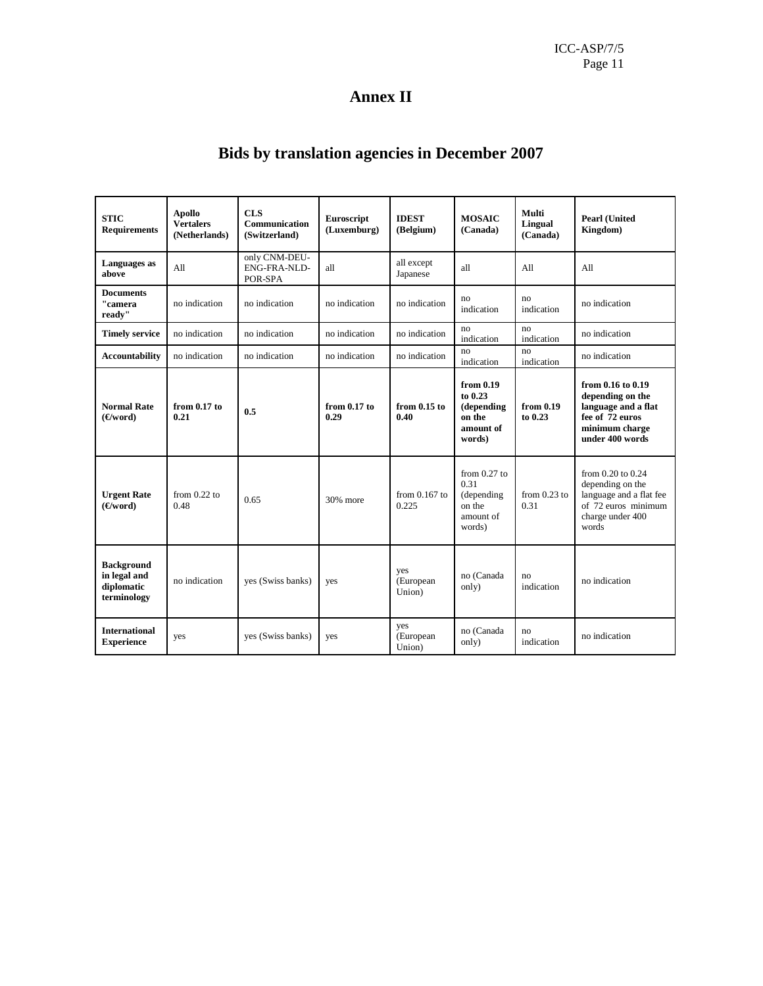## **Annex II**

# **Bids by translation agencies in December 2007**

| <b>STIC</b><br><b>Requirements</b>                             | <b>Apollo</b><br><b>Vertalers</b><br>(Netherlands) | <b>CLS</b><br>Communication<br>(Switzerland) | Euroscript<br>(Luxemburg) | <b>IDEST</b><br>(Belgium)  | <b>MOSAIC</b><br>(Canada)                                             | Multi<br><b>Lingual</b><br>(Canada) | <b>Pearl (United)</b><br>Kingdom)                                                                                        |
|----------------------------------------------------------------|----------------------------------------------------|----------------------------------------------|---------------------------|----------------------------|-----------------------------------------------------------------------|-------------------------------------|--------------------------------------------------------------------------------------------------------------------------|
| Languages as<br>above                                          | All                                                | only CNM-DEU-<br>ENG-FRA-NLD-<br>POR-SPA     | all                       | all except<br>Japanese     | all                                                                   | All                                 | All                                                                                                                      |
| <b>Documents</b><br>"camera<br>ready"                          | no indication                                      | no indication                                | no indication             | no indication              | no<br>indication                                                      | no<br>indication                    | no indication                                                                                                            |
| <b>Timely service</b>                                          | no indication                                      | no indication                                | no indication             | no indication              | no<br>indication                                                      | no<br>indication                    | no indication                                                                                                            |
| <b>Accountability</b>                                          | no indication                                      | no indication                                | no indication             | no indication              | no<br>indication                                                      | no<br>indication                    | no indication                                                                                                            |
| <b>Normal Rate</b><br>(E/word)                                 | from 0.17 to<br>0.21                               | 0.5                                          | from 0.17 to<br>0.29      | from $0.15$ to<br>0.40     | from 0.19<br>to 0.23<br>(depending<br>on the<br>amount of<br>words)   | from 0.19<br>to 0.23                | from 0.16 to 0.19<br>depending on the<br>language and a flat<br>fee of 72 euros<br>minimum charge<br>under 400 words     |
| <b>Urgent Rate</b><br>(E/word)                                 | from $0.22$ to<br>0.48                             | 0.65                                         | 30% more                  | from $0.167$ to<br>0.225   | from $0.27$ to<br>0.31<br>(depending<br>on the<br>amount of<br>words) | from $0.23$ to<br>0.31              | from $0.20$ to $0.24$<br>depending on the<br>language and a flat fee<br>of 72 euros minimum<br>charge under 400<br>words |
| <b>Background</b><br>in legal and<br>diplomatic<br>terminology | no indication                                      | yes (Swiss banks)                            | yes                       | yes<br>(European<br>Union) | no (Canada<br>only)                                                   | no<br>indication                    | no indication                                                                                                            |
| <b>International</b><br><b>Experience</b>                      | yes                                                | yes (Swiss banks)                            | yes                       | yes<br>(European<br>Union) | no (Canada<br>only)                                                   | no<br>indication                    | no indication                                                                                                            |